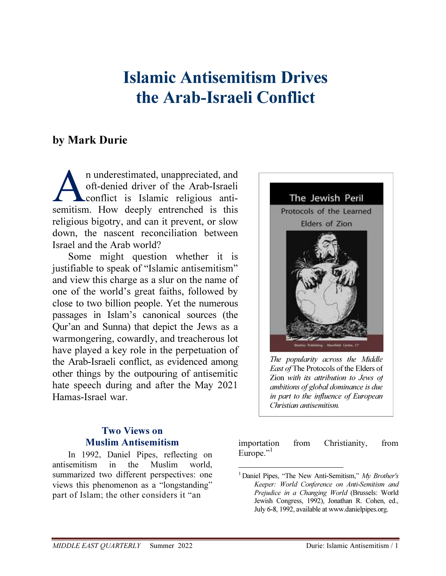# Islamic Antisemitism Drives the Arab-Israeli Conflict

## by Mark Durie

n underestimated, unappreciated, and oft-denied driver of the Arab-Israeli conflict is Islamic religious antisemitism. How deeply entrenched is this religious bigotry, and can it prevent, or slow down, the nascent reconciliation between Israel and the Arab world? A

Some might question whether it is justifiable to speak of "Islamic antisemitism" and view this charge as a slur on the name of one of the world's great faiths, followed by close to two billion people. Yet the numerous passages in Islam's canonical sources (the Qur'an and Sunna) that depict the Jews as a warmongering, cowardly, and treacherous lot have played a key role in the perpetuation of the Arab-Israeli conflict, as evidenced among other things by the outpouring of antisemitic hate speech during and after the May 2021 Hamas-Israel war.



*The popularity across the Middle East of* The Protocols of the Elders of Zion *with its attribution to Jews of ambitions of global dominance is due in part to the influence of European Christian antisemitism.*

### Two Views on Muslim Antisemitism

In 1992, Daniel Pipes, reflecting on antisemitism in the Muslim world, summarized two different perspectives: one views this phenomenon as a "longstanding" part of Islam; the other considers it "an

importation from Christianity, from Europe."<sup>1</sup>

 $\overline{a}$ 

<sup>&</sup>lt;sup>1</sup> Daniel Pipes, "The New Anti-Semitism,"  $My$  Brother's Keeper: World Conference on Anti-Semitism and Prejudice in a Changing World (Brussels: World Jewish Congress, 1992), Jonathan R. Cohen, ed., July 6-8, 1992, available at www.danielpipes.org.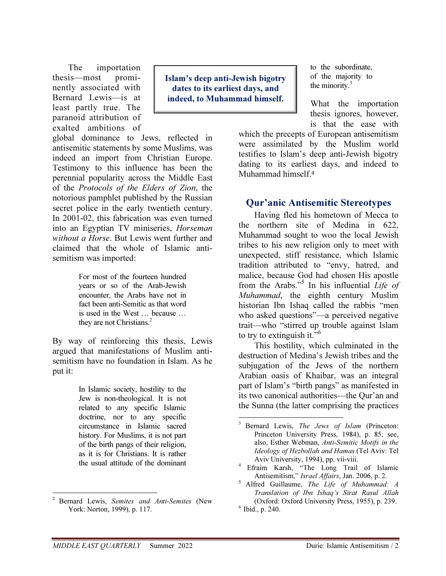The importation thesis—most prominently associated with Bernard Lewis—is at least partly true. The paranoid attribution of exalted ambitions of

global dominance to Jews, reflected in antisemitic statements by some Muslims, was indeed an import from Christian Europe. Testimony to this influence has been the perennial popularity across the Middle East of the Protocols of the Elders of Zion, the notorious pamphlet published by the Russian secret police in the early twentieth century. In 2001-02, this fabrication was even turned into an Egyptian TV miniseries, Horseman without a Horse. But Lewis went further and claimed that the whole of Islamic antisemitism was imported:

> For most of the fourteen hundred years or so of the Arab-Jewish encounter, the Arabs have not in fact been anti-Semitic as that word is used in the West … because … they are not Christians. $2$

By way of reinforcing this thesis, Lewis argued that manifestations of Muslim antisemitism have no foundation in Islam. As he put it:

> In Islamic society, hostility to the Jew is non-theological. It is not related to any specific Islamic doctrine, nor to any specific circumstance in Islamic sacred history. For Muslims, it is not part of the birth pangs of their religion, as it is for Christians. It is rather the usual attitude of the dominant

Islam's deep anti-Jewish bigotry dates to its earliest days, and indeed, to Muhammad himself.

<u>.</u>

to the subordinate, of the majority to the minority. $3$ 

What the importation thesis ignores, however, is that the ease with

which the precepts of European antisemitism were assimilated by the Muslim world testifies to Islam's deep anti-Jewish bigotry dating to its earliest days, and indeed to Muhammad himself.<sup>4</sup>

#### Qur'anic Antisemitic Stereotypes

Having fled his hometown of Mecca to the northern site of Medina in 622, Muhammad sought to woo the local Jewish tribes to his new religion only to meet with unexpected, stiff resistance, which Islamic tradition attributed to "envy, hatred, and malice, because God had chosen His apostle from the Arabs."<sup>5</sup> In his influential Life of Muhammad, the eighth century Muslim historian Ibn Ishaq called the rabbis "men who asked questions"—a perceived negative trait—who "stirred up trouble against Islam to try to extinguish it."<sup>6</sup>

This hostility, which culminated in the destruction of Medina's Jewish tribes and the subjugation of the Jews of the northern Arabian oasis of Khaibar, was an integral part of Islam's "birth pangs" as manifested in its two canonical authorities—the Qur'an and the Sunna (the latter comprising the practices

<sup>4</sup>Efraim Karsh, "The Long Trail of Islamic Antisemitism," Israel Affairs, Jan. 2006, p. 2.

 $\overline{a}$ <sup>2</sup> Bernard Lewis, Semites and Anti-Semites (New York: Norton, 1999), p. 117.

<sup>&</sup>lt;sup>3</sup> Bernard Lewis, *The Jews of Islam* (Princeton: Princeton University Press, 1984), p. 85; see, also, Esther Webman, Anti-Semitic Motifs in the Ideology of Hezbollah and Hamas (Tel Aviv: Tel Aviv University, 1994), pp. vii-viii.

 $<sup>5</sup>$  Alfred Guillaume, The Life of Muhammad: A</sup> Translation of Ibn Ishaq's Sirat Rasul Allah (Oxford: Oxford University Press, 1955), p. 239.  $6$  Ibid., p. 240.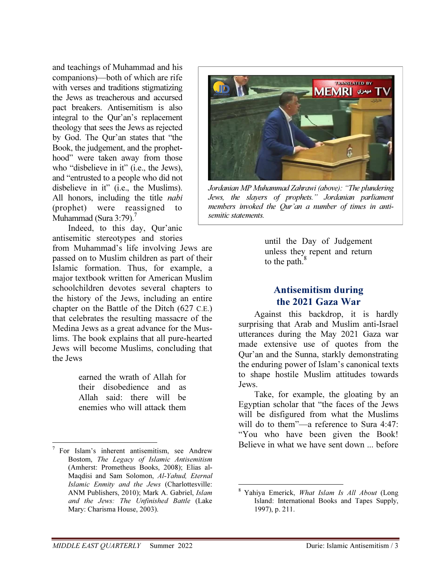and teachings of Muhammad and his companions)—both of which are rife with verses and traditions stigmatizing the Jews as treacherous and accursed pact breakers. Antisemitism is also integral to the Qur'an's replacement theology that sees the Jews as rejected by God. The Qur'an states that "the Book, the judgement, and the prophethood" were taken away from those who "disbelieve in it" (i.e., the Jews), and "entrusted to a people who did not disbelieve in it" (i.e., the Muslims). All honors, including the title nabi (prophet) were reassigned to Muhammad (Sura 3:79).<sup>7</sup>

Indeed, to this day, Qur'anic antisemitic stereotypes and stories

from Muhammad's life involving Jews are passed on to Muslim children as part of their Islamic formation. Thus, for example, a major textbook written for American Muslim schoolchildren devotes several chapters to the history of the Jews, including an entire chapter on the Battle of the Ditch (627 C.E.) that celebrates the resulting massacre of the Medina Jews as a great advance for the Muslims. The book explains that all pure-hearted Jews will become Muslims, concluding that the Jews

> earned the wrath of Allah for their disobedience and as Allah said: there will be enemies who will attack them

 $\overline{a}$ 



*Jordanian MP Muhammad Zahrawi (above): "The plundering Jews, the slayers of prophets." Jordanian parliament members invoked the Qur'an a number of times in antisemitic statements.*

until the Day of Judgement unless they repent and return to the path. $8$ 

#### Antisemitism during the 2021 Gaza War

Against this backdrop, it is hardly surprising that Arab and Muslim anti-Israel utterances during the May 2021 Gaza war made extensive use of quotes from the Qur'an and the Sunna, starkly demonstrating the enduring power of Islam's canonical texts to shape hostile Muslim attitudes towards Jews.

Take, for example, the gloating by an Egyptian scholar that "the faces of the Jews will be disfigured from what the Muslims will do to them"—a reference to Sura 4:47: "You who have been given the Book! Believe in what we have sent down ... before

 $7$  For Islam's inherent antisemitism, see Andrew Bostom, The Legacy of Islamic Antisemitism (Amherst: Prometheus Books, 2008); Elias al-Maqdisi and Sam Solomon, Al-Yahud, Eternal Islamic Enmity and the Jews (Charlottesville: ANM Publishers, 2010); Mark A. Gabriel, Islam and the Jews: The Unfinished Battle (Lake Mary: Charisma House, 2003).

 $\overline{a}$ <sup>8</sup> Yahiya Emerick, *What Islam Is All About* (Long Island: International Books and Tapes Supply, 1997), p. 211.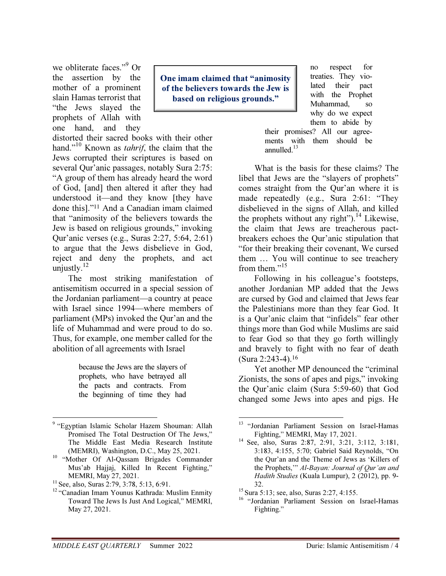we obliterate faces."<sup>9</sup> Or the assertion by the mother of a prominent slain Hamas terrorist that "the Jews slayed the prophets of Allah with one hand, and they

distorted their sacred books with their other hand."<sup>10</sup> Known as *tahrif*, the claim that the Jews corrupted their scriptures is based on several Qur'anic passages, notably Sura 2:75: "A group of them has already heard the word of God, [and] then altered it after they had understood it—and they know [they have done this]."<sup>11</sup> And a Canadian imam claimed that "animosity of the believers towards the Jew is based on religious grounds," invoking Qur'anic verses (e.g., Suras 2:27, 5:64, 2:61) to argue that the Jews disbelieve in God, reject and deny the prophets, and act unjustly. $^{12}$ 

The most striking manifestation of antisemitism occurred in a special session of the Jordanian parliament—a country at peace with Israel since 1994—where members of parliament (MPs) invoked the Qur'an and the life of Muhammad and were proud to do so. Thus, for example, one member called for the abolition of all agreements with Israel

> because the Jews are the slayers of prophets, who have betrayed all the pacts and contracts. From the beginning of time they had

One imam claimed that "animosity of the believers towards the Jew is based on religious grounds."

no respect for treaties. They violated their pact with the Prophet Muhammad, so why do we expect them to abide by

their promises? All our agreements with them should be annulled. $13$ 

What is the basis for these claims? The libel that Jews are the "slayers of prophets" comes straight from the Qur'an where it is made repeatedly (e.g., Sura 2:61: "They disbelieved in the signs of Allah, and killed the prophets without any right").<sup>14</sup> Likewise, the claim that Jews are treacherous pactbreakers echoes the Qur'anic stipulation that "for their breaking their covenant, We cursed them … You will continue to see treachery from them."<sup>15</sup>

Following in his colleague's footsteps, another Jordanian MP added that the Jews are cursed by God and claimed that Jews fear the Palestinians more than they fear God. It is a Qur'anic claim that "infidels" fear other things more than God while Muslims are said to fear God so that they go forth willingly and bravely to fight with no fear of death (Sura 2:243-4).<sup>16</sup>

Yet another MP denounced the "criminal Zionists, the sons of apes and pigs," invoking the Qur'anic claim (Sura 5:59-60) that God changed some Jews into apes and pigs. He

 $\overline{a}$ <sup>9</sup> "Egyptian Islamic Scholar Hazem Shouman: Allah Promised The Total Destruction Of The Jews," The Middle East Media Research Institute (MEMRI), Washington, D.C., May 25, 2021.

<sup>&</sup>lt;sup>10</sup> "Mother Of Al-Qassam Brigades Commander Mus'ab Hajjaj, Killed In Recent Fighting," MEMRI, May 27, 2021.

 $11$  See, also, Suras 2:79, 3:78, 5:13, 6:91.

<sup>&</sup>lt;sup>12</sup> "Canadian Imam Younus Kathrada: Muslim Enmity Toward The Jews Is Just And Logical," MEMRI, May 27, 2021.

<sup>&</sup>lt;u>.</u> <sup>13</sup> "Jordanian Parliament Session on Israel-Hamas Fighting," MEMRI, May 17, 2021.

<sup>&</sup>lt;sup>14</sup> See, also, Suras 2:87, 2:91, 3:21, 3:112, 3:181, 3:183, 4:155, 5:70; Gabriel Said Reynolds, "On the Qur'an and the Theme of Jews as 'Killers of the Prophets,'" Al-Bayan: Journal of Qur'an and Hadith Studies (Kuala Lumpur), 2 (2012), pp. 9- 32.

<sup>&</sup>lt;sup>15</sup> Sura 5:13; see, also, Suras 2:27, 4:155.

<sup>&</sup>lt;sup>16</sup> "Jordanian Parliament Session on Israel-Hamas Fighting."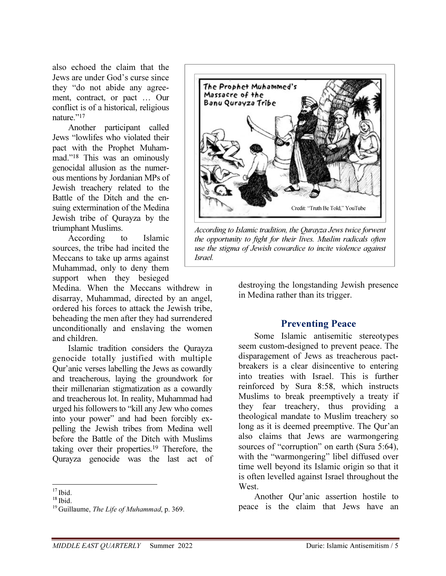also echoed the claim that the Jews are under God's curse since they "do not abide any agreement, contract, or pact … Our conflict is of a historical, religious nature."<sup>17</sup>

Another participant called Jews "lowlifes who violated their pact with the Prophet Muhammad."<sup>18</sup> This was an ominously genocidal allusion as the numerous mentions by Jordanian MPs of Jewish treachery related to the Battle of the Ditch and the ensuing extermination of the Medina Jewish tribe of Qurayza by the triumphant Muslims.

According to Islamic sources, the tribe had incited the Meccans to take up arms against Muhammad, only to deny them support when they besieged

Medina. When the Meccans withdrew in disarray, Muhammad, directed by an angel, ordered his forces to attack the Jewish tribe, beheading the men after they had surrendered unconditionally and enslaving the women and children.

Islamic tradition considers the Qurayza genocide totally justified with multiple Qur'anic verses labelling the Jews as cowardly and treacherous, laying the groundwork for their millenarian stigmatization as a cowardly and treacherous lot. In reality, Muhammad had urged his followers to "kill any Jew who comes into your power" and had been forcibly expelling the Jewish tribes from Medina well before the Battle of the Ditch with Muslims taking over their properties.<sup>19</sup> Therefore, the Qurayza genocide was the last act of



*According to Islamic tradition, the Qurayza Jews twice forwent the opportunity to fight for their lives. Muslim radicals often use the stigma of Jewish cowardice to incite violence against Israel.*

destroying the longstanding Jewish presence in Medina rather than its trigger.

#### Preventing Peace

Some Islamic antisemitic stereotypes seem custom-designed to prevent peace. The disparagement of Jews as treacherous pactbreakers is a clear disincentive to entering into treaties with Israel. This is further reinforced by Sura 8:58, which instructs Muslims to break preemptively a treaty if they fear treachery, thus providing a theological mandate to Muslim treachery so long as it is deemed preemptive. The Qur'an also claims that Jews are warmongering sources of "corruption" on earth (Sura 5:64), with the "warmongering" libel diffused over time well beyond its Islamic origin so that it is often levelled against Israel throughout the West.

Another Qur'anic assertion hostile to peace is the claim that Jews have an

 $\overline{a}$  $17$  Ibid.

 $18$  Ibid.

 $19$  Guillaume, The Life of Muhammad, p. 369.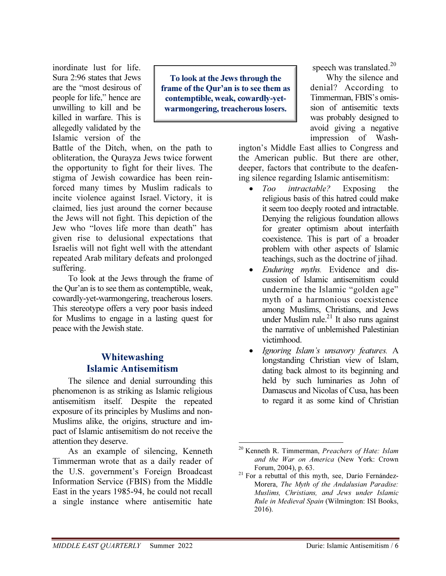inordinate lust for life. Sura 2:96 states that Jews are the "most desirous of people for life," hence are unwilling to kill and be killed in warfare. This is allegedly validated by the Islamic version of the

To look at the Jews through the frame of the Qur'an is to see them as contemptible, weak, cowardly-yetwarmongering, treacherous losers.

Battle of the Ditch, when, on the path to obliteration, the Qurayza Jews twice forwent the opportunity to fight for their lives. The stigma of Jewish cowardice has been reinforced many times by Muslim radicals to incite violence against Israel. Victory, it is claimed, lies just around the corner because the Jews will not fight. This depiction of the Jew who "loves life more than death" has given rise to delusional expectations that Israelis will not fight well with the attendant repeated Arab military defeats and prolonged suffering.

To look at the Jews through the frame of the Qur'an is to see them as contemptible, weak, cowardly-yet-warmongering, treacherous losers. This stereotype offers a very poor basis indeed for Muslims to engage in a lasting quest for peace with the Jewish state.

#### Whitewashing Islamic Antisemitism

The silence and denial surrounding this phenomenon is as striking as Islamic religious antisemitism itself. Despite the repeated exposure of its principles by Muslims and non-Muslims alike, the origins, structure and impact of Islamic antisemitism do not receive the attention they deserve.

As an example of silencing, Kenneth Timmerman wrote that as a daily reader of the U.S. government's Foreign Broadcast Information Service (FBIS) from the Middle East in the years 1985-94, he could not recall a single instance where antisemitic hate

speech was translated. $20$ 

Why the silence and denial? According to Timmerman, FBIS's omission of antisemitic texts was probably designed to avoid giving a negative impression of Wash-

ington's Middle East allies to Congress and the American public. But there are other, deeper, factors that contribute to the deafening silence regarding Islamic antisemitism:

- Too *intractable?* Exposing the religious basis of this hatred could make it seem too deeply rooted and intractable. Denying the religious foundation allows for greater optimism about interfaith coexistence. This is part of a broader problem with other aspects of Islamic teachings, such as the doctrine of jihad.
- Enduring myths. Evidence and discussion of Islamic antisemitism could undermine the Islamic "golden age" myth of a harmonious coexistence among Muslims, Christians, and Jews under Muslim rule. $^{21}$  It also runs against the narrative of unblemished Palestinian victimhood.
- Ignoring Islam's unsavory features. A longstanding Christian view of Islam, dating back almost to its beginning and held by such luminaries as John of Damascus and Nicolas of Cusa, has been to regard it as some kind of Christian

<sup>&</sup>lt;u>.</u>  $20$  Kenneth R. Timmerman, *Preachers of Hate: Islam* and the War on America (New York: Crown Forum, 2004), p. 63.

 $21$  For a rebuttal of this myth, see, Darío Fernández-Morera, The Myth of the Andalusian Paradise: Muslims, Christians, and Jews under Islamic Rule in Medieval Spain (Wilmington: ISI Books, 2016).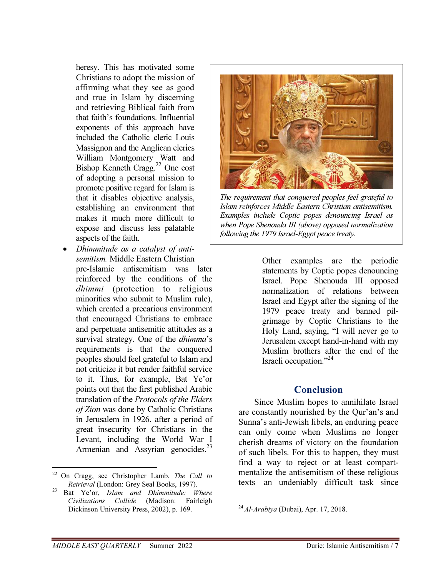heresy. This has motivated some Christians to adopt the mission of affirming what they see as good and true in Islam by discerning and retrieving Biblical faith from that faith's foundations. Influential exponents of this approach have included the Catholic cleric Louis Massignon and the Anglican clerics William Montgomery Watt and Bishop Kenneth Cragg.<sup>22</sup> One cost of adopting a personal mission to promote positive regard for Islam is that it disables objective analysis, establishing an environment that makes it much more difficult to expose and discuss less palatable aspects of the faith.

• Dhimmitude as a catalyst of antisemitism. Middle Eastern Christian pre-Islamic antisemitism was later reinforced by the conditions of the dhimmi (protection to religious minorities who submit to Muslim rule), which created a precarious environment that encouraged Christians to embrace and perpetuate antisemitic attitudes as a survival strategy. One of the *dhimma*'s requirements is that the conquered peoples should feel grateful to Islam and not criticize it but render faithful service to it. Thus, for example, Bat Ye'or points out that the first published Arabic translation of the Protocols of the Elders of Zion was done by Catholic Christians in Jerusalem in 1926, after a period of great insecurity for Christians in the Levant, including the World War I Armenian and Assyrian genocides.<sup>23</sup>

 $\overline{a}$ 



*The requirement that conquered peoples feel grateful to Islam reinforces Middle Eastern Christian antisemitism. Examples include Coptic popes denouncing Israel as when Pope Shenouda III (above) opposed normalization following the 1979 Israel-Egypt peace treaty.*

Other examples are the periodic statements by Coptic popes denouncing Israel. Pope Shenouda III opposed normalization of relations between Israel and Egypt after the signing of the 1979 peace treaty and banned pilgrimage by Coptic Christians to the Holy Land, saying, "I will never go to Jerusalem except hand-in-hand with my Muslim brothers after the end of the Israeli occupation."<sup>24</sup>

#### Conclusion

Since Muslim hopes to annihilate Israel are constantly nourished by the Qur'an's and Sunna's anti-Jewish libels, an enduring peace can only come when Muslims no longer cherish dreams of victory on the foundation of such libels. For this to happen, they must find a way to reject or at least compartmentalize the antisemitism of these religious texts—an undeniably difficult task since

<sup>&</sup>lt;sup>22</sup> On Cragg, see Christopher Lamb, The Call to Retrieval (London: Grey Seal Books, 1997).

 $23$  Bat Ye'or, Islam and Dhimmitude: Where Civilizations Collide (Madison: Fairleigh Dickinson University Press, 2002), p. 169.

 $\overline{a}$  $^{24}$  Al-Arabiya (Dubai), Apr. 17, 2018.